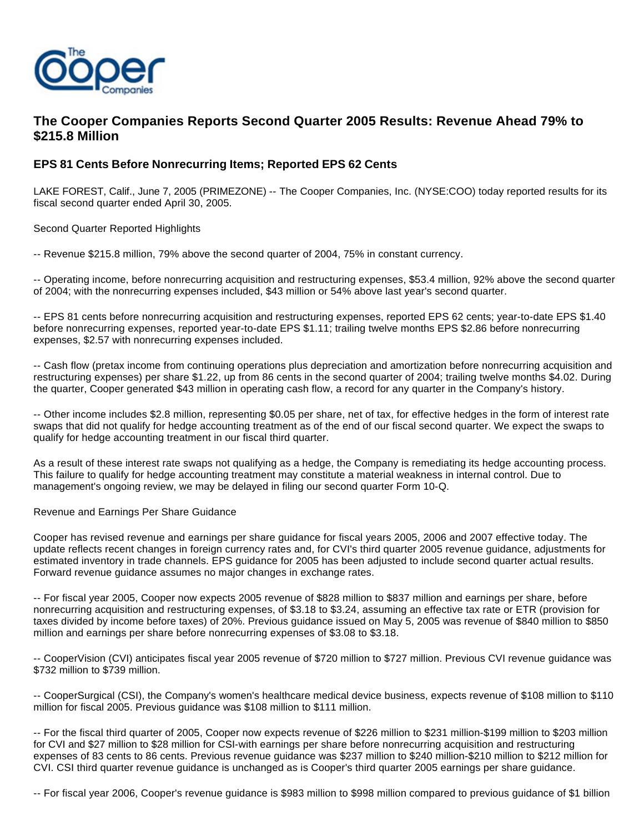

# **The Cooper Companies Reports Second Quarter 2005 Results: Revenue Ahead 79% to \$215.8 Million**

# **EPS 81 Cents Before Nonrecurring Items; Reported EPS 62 Cents**

LAKE FOREST, Calif., June 7, 2005 (PRIMEZONE) -- The Cooper Companies, Inc. (NYSE:COO) today reported results for its fiscal second quarter ended April 30, 2005.

Second Quarter Reported Highlights

-- Revenue \$215.8 million, 79% above the second quarter of 2004, 75% in constant currency.

-- Operating income, before nonrecurring acquisition and restructuring expenses, \$53.4 million, 92% above the second quarter of 2004; with the nonrecurring expenses included, \$43 million or 54% above last year's second quarter.

-- EPS 81 cents before nonrecurring acquisition and restructuring expenses, reported EPS 62 cents; year-to-date EPS \$1.40 before nonrecurring expenses, reported year-to-date EPS \$1.11; trailing twelve months EPS \$2.86 before nonrecurring expenses, \$2.57 with nonrecurring expenses included.

-- Cash flow (pretax income from continuing operations plus depreciation and amortization before nonrecurring acquisition and restructuring expenses) per share \$1.22, up from 86 cents in the second quarter of 2004; trailing twelve months \$4.02. During the quarter, Cooper generated \$43 million in operating cash flow, a record for any quarter in the Company's history.

-- Other income includes \$2.8 million, representing \$0.05 per share, net of tax, for effective hedges in the form of interest rate swaps that did not qualify for hedge accounting treatment as of the end of our fiscal second quarter. We expect the swaps to qualify for hedge accounting treatment in our fiscal third quarter.

As a result of these interest rate swaps not qualifying as a hedge, the Company is remediating its hedge accounting process. This failure to qualify for hedge accounting treatment may constitute a material weakness in internal control. Due to management's ongoing review, we may be delayed in filing our second quarter Form 10-Q.

# Revenue and Earnings Per Share Guidance

Cooper has revised revenue and earnings per share guidance for fiscal years 2005, 2006 and 2007 effective today. The update reflects recent changes in foreign currency rates and, for CVI's third quarter 2005 revenue guidance, adjustments for estimated inventory in trade channels. EPS guidance for 2005 has been adjusted to include second quarter actual results. Forward revenue guidance assumes no major changes in exchange rates.

-- For fiscal year 2005, Cooper now expects 2005 revenue of \$828 million to \$837 million and earnings per share, before nonrecurring acquisition and restructuring expenses, of \$3.18 to \$3.24, assuming an effective tax rate or ETR (provision for taxes divided by income before taxes) of 20%. Previous guidance issued on May 5, 2005 was revenue of \$840 million to \$850 million and earnings per share before nonrecurring expenses of \$3.08 to \$3.18.

-- CooperVision (CVI) anticipates fiscal year 2005 revenue of \$720 million to \$727 million. Previous CVI revenue guidance was \$732 million to \$739 million.

-- CooperSurgical (CSI), the Company's women's healthcare medical device business, expects revenue of \$108 million to \$110 million for fiscal 2005. Previous guidance was \$108 million to \$111 million.

-- For the fiscal third quarter of 2005, Cooper now expects revenue of \$226 million to \$231 million-\$199 million to \$203 million for CVI and \$27 million to \$28 million for CSI-with earnings per share before nonrecurring acquisition and restructuring expenses of 83 cents to 86 cents. Previous revenue guidance was \$237 million to \$240 million-\$210 million to \$212 million for CVI. CSI third quarter revenue guidance is unchanged as is Cooper's third quarter 2005 earnings per share guidance.

-- For fiscal year 2006, Cooper's revenue guidance is \$983 million to \$998 million compared to previous guidance of \$1 billion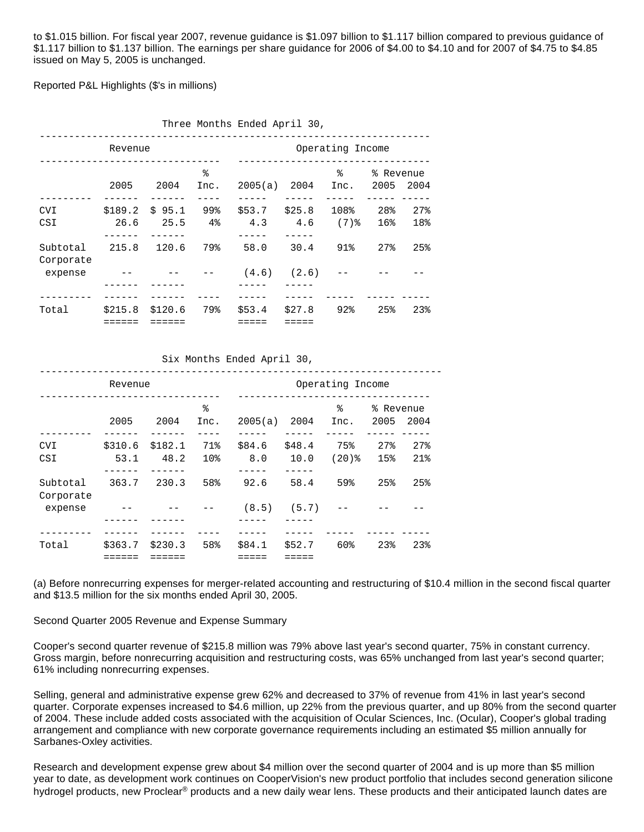to \$1.015 billion. For fiscal year 2007, revenue guidance is \$1.097 billion to \$1.117 billion compared to previous guidance of \$1.117 billion to \$1.137 billion. The earnings per share guidance for 2006 of \$4.00 to \$4.10 and for 2007 of \$4.75 to \$4.85 issued on May 5, 2005 is unchanged.

Reported P&L Highlights (\$'s in millions)

|                       |         |                         |                  | Three Months Ended April 30, |                         |           |                   |                          |
|-----------------------|---------|-------------------------|------------------|------------------------------|-------------------------|-----------|-------------------|--------------------------|
|                       |         |                         | Operating Income |                              |                         |           |                   |                          |
|                       | 2005    | 2004                    | ిన<br>Inc.       | 2005(a)                      | 2004                    | ⊱<br>Inc. | % Revenue<br>2005 | 2004                     |
| <b>CVI</b><br>CSI     | 26.6    | $$189.2 \$95.1$<br>25.5 | 99%<br>$4\,$     | $$53.7$ $$25.8$<br>4.3       | $4.6$ (7) $\frac{8}{3}$ | 108%      | 28%<br>16%        | $27$ <sup>8</sup><br>18% |
| Subtotal<br>Corporate | 215.8   | 120.6                   | 79%              | 58.0                         | 30.4                    | 91%       | 27%               | 25%                      |
| expense               |         |                         |                  |                              | $(4.6)$ $(2.6)$         |           |                   |                          |
| Total                 | \$215.8 | \$120.6                 | 79%              | \$53.4                       | \$27.8                  | 92%       | 25%               | 23 <sub>8</sub>          |

Six Months Ended April 30,

| Revenue               |                 |                 |                        | Operating Income |                |                   |                   |            |
|-----------------------|-----------------|-----------------|------------------------|------------------|----------------|-------------------|-------------------|------------|
|                       | 2005            | 2004            | ిన<br>Inc.             | 2005(a)          | 2004           | ୫<br>Inc.         | % Revenue<br>2005 | 2004       |
| <b>CVI</b><br>CSI     | \$310.6<br>53.1 | \$182.1<br>48.2 | 71%<br>10 <sub>8</sub> | \$84.6<br>8.0    | \$48.4<br>10.0 | 75%<br>$(20)$ $%$ | 27%<br>15%        | 27%<br>21% |
| Subtotal<br>Corporate | 363.7           | 230.3           | 58%                    | 92.6             | 58.4           | 59%               | 25%               | 25%        |
| expense               |                 |                 |                        | (8.5)            | (5.7)          |                   |                   |            |
| Total                 | \$363.7         | \$230.3         | 58%                    | \$84.1           | \$52.7         | 60%               | 23 <sub>8</sub>   | 23%        |

(a) Before nonrecurring expenses for merger-related accounting and restructuring of \$10.4 million in the second fiscal quarter and \$13.5 million for the six months ended April 30, 2005.

Second Quarter 2005 Revenue and Expense Summary

Cooper's second quarter revenue of \$215.8 million was 79% above last year's second quarter, 75% in constant currency. Gross margin, before nonrecurring acquisition and restructuring costs, was 65% unchanged from last year's second quarter; 61% including nonrecurring expenses.

Selling, general and administrative expense grew 62% and decreased to 37% of revenue from 41% in last year's second quarter. Corporate expenses increased to \$4.6 million, up 22% from the previous quarter, and up 80% from the second quarter of 2004. These include added costs associated with the acquisition of Ocular Sciences, Inc. (Ocular), Cooper's global trading arrangement and compliance with new corporate governance requirements including an estimated \$5 million annually for Sarbanes-Oxley activities.

Research and development expense grew about \$4 million over the second quarter of 2004 and is up more than \$5 million year to date, as development work continues on CooperVision's new product portfolio that includes second generation silicone hydrogel products, new Proclear<sup>®</sup> products and a new daily wear lens. These products and their anticipated launch dates are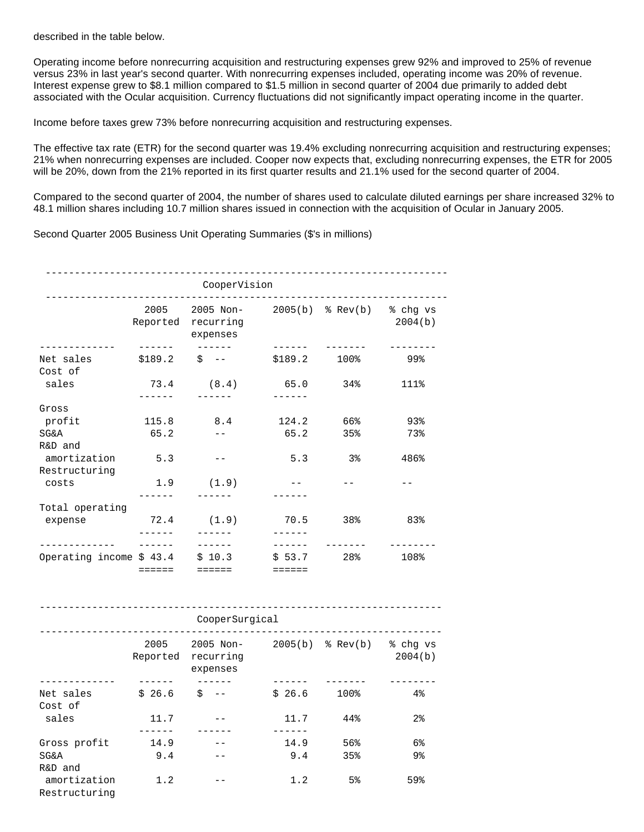described in the table below.

Operating income before nonrecurring acquisition and restructuring expenses grew 92% and improved to 25% of revenue versus 23% in last year's second quarter. With nonrecurring expenses included, operating income was 20% of revenue. Interest expense grew to \$8.1 million compared to \$1.5 million in second quarter of 2004 due primarily to added debt associated with the Ocular acquisition. Currency fluctuations did not significantly impact operating income in the quarter.

Income before taxes grew 73% before nonrecurring acquisition and restructuring expenses.

The effective tax rate (ETR) for the second quarter was 19.4% excluding nonrecurring acquisition and restructuring expenses; 21% when nonrecurring expenses are included. Cooper now expects that, excluding nonrecurring expenses, the ETR for 2005 will be 20%, down from the 21% reported in its first quarter results and 21.1% used for the second quarter of 2004.

Compared to the second quarter of 2004, the number of shares used to calculate diluted earnings per share increased 32% to 48.1 million shares including 10.7 million shares issued in connection with the acquisition of Ocular in January 2005.

Second Quarter 2005 Business Unit Operating Summaries (\$'s in millions)

| ___________                         | 2005<br>Reported<br>------ | 2005 Non-<br>recurring<br>expenses<br>$\frac{1}{2}$          | ------                        | 2005(b) % Rev(b) % chg vs | 2004(b)        |  |  |  |
|-------------------------------------|----------------------------|--------------------------------------------------------------|-------------------------------|---------------------------|----------------|--|--|--|
| Net sales<br>Cost of                | \$189.2                    | $$ --$                                                       | \$189.2                       | 100%                      | ୨୨୫            |  |  |  |
| sales                               | 73.4<br>------             | (8.4)                                                        | 65.0<br>$- - - - - -$         | 34%                       | 111%           |  |  |  |
| Gross                               |                            |                                                              |                               |                           |                |  |  |  |
| profit                              | 115.8                      | 8.4                                                          | 124.2                         | 66%                       | 93%            |  |  |  |
| <b>SG&amp;A</b><br>R&D and          | 65.2                       | $- -$                                                        | 65.2                          | 35%                       | 73%            |  |  |  |
| amortization<br>Restructuring       | 5.3                        | $- -$                                                        | 5.3                           | 3%                        | 486%           |  |  |  |
| costs                               | 1.9<br>$- - - - -$         | (1.9)<br>------                                              | $--$<br>------                | $- -$                     |                |  |  |  |
| Total operating                     |                            |                                                              |                               |                           |                |  |  |  |
| expense                             | 72.4<br>------             | (1.9)<br>$- - - - - -$                                       | 70.5<br>$- - - - - -$         | 38%                       | 83%            |  |  |  |
| . _ _ _ _ _ _ _ _ _ _ _             | $- - - - - -$              | $- - - - - - -$                                              | $- - - - - - -$               | -------                   |                |  |  |  |
| Operating income \$ 43.4            | $=$ $=$ $=$ $=$ $=$        | \$10.3<br>$=$ = = = = =                                      | \$53.7<br>$=$ $=$ $=$ $=$ $=$ | 28%                       | 108%           |  |  |  |
|                                     |                            | CooperSurgical                                               |                               |                           |                |  |  |  |
|                                     | 2005<br>Reported           | 2005 Non- 2005(b) % Rev(b) % chg vs<br>recurring<br>expenses |                               |                           | 2004(b)        |  |  |  |
| ___________<br>Net sales<br>Cost of | $- - - - - - -$<br>\$26.6  | $\ddot{S}$ $-$                                               | $- - - - - - -$<br>\$26.6     | -------<br>100%           | $4\%$          |  |  |  |
| sales                               | 11.7                       | $- -$                                                        | 11.7                          | 44%                       | 2 <sub>8</sub> |  |  |  |
| Gross profit                        | $- - - - -$<br>14.9        | ------                                                       | ------<br>14.9                | 56%                       | 6%             |  |  |  |

SG&A 9.4 -- 9.4 35% 9%

amortization 1.2 -- 1.2 5% 59% Restructuring

R&D and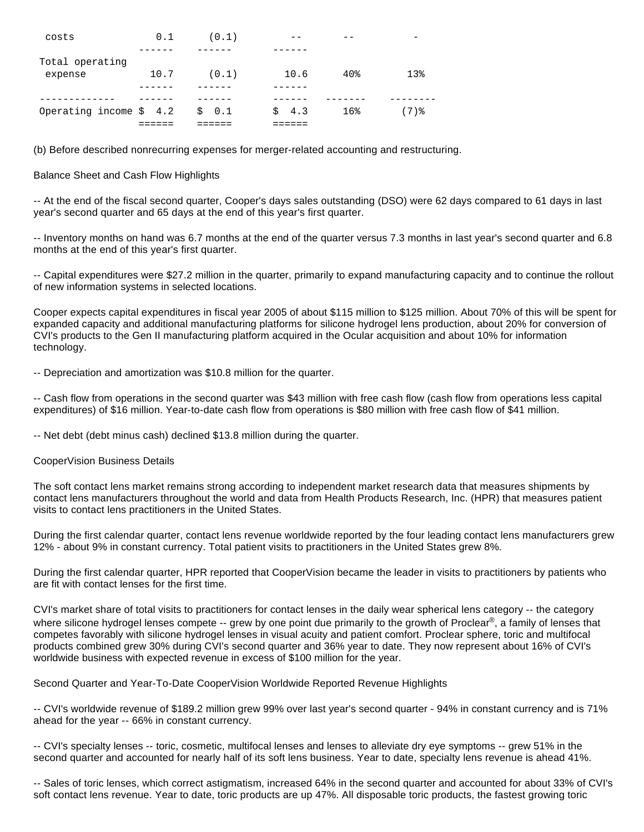| costs                   | 0.1  | (0.1) |            |                 |                 |
|-------------------------|------|-------|------------|-----------------|-----------------|
|                         |      |       |            |                 |                 |
| Total operating         |      |       |            |                 |                 |
| expense                 | 10.7 | (0.1) | 10.6       | 40 <sub>8</sub> | 13 <sub>8</sub> |
|                         |      |       |            |                 |                 |
|                         |      |       |            |                 |                 |
| Operating income $$4.2$ |      | \$0.1 | $\sin 4.3$ | 16%             | $(7)$ %         |
|                         |      |       |            |                 |                 |

(b) Before described nonrecurring expenses for merger-related accounting and restructuring.

# Balance Sheet and Cash Flow Highlights

-- At the end of the fiscal second quarter, Cooper's days sales outstanding (DSO) were 62 days compared to 61 days in last year's second quarter and 65 days at the end of this year's first quarter.

-- Inventory months on hand was 6.7 months at the end of the quarter versus 7.3 months in last year's second quarter and 6.8 months at the end of this year's first quarter.

-- Capital expenditures were \$27.2 million in the quarter, primarily to expand manufacturing capacity and to continue the rollout of new information systems in selected locations.

Cooper expects capital expenditures in fiscal year 2005 of about \$115 million to \$125 million. About 70% of this will be spent for expanded capacity and additional manufacturing platforms for silicone hydrogel lens production, about 20% for conversion of CVI's products to the Gen II manufacturing platform acquired in the Ocular acquisition and about 10% for information technology.

-- Depreciation and amortization was \$10.8 million for the quarter.

-- Cash flow from operations in the second quarter was \$43 million with free cash flow (cash flow from operations less capital expenditures) of \$16 million. Year-to-date cash flow from operations is \$80 million with free cash flow of \$41 million.

-- Net debt (debt minus cash) declined \$13.8 million during the quarter.

# CooperVision Business Details

The soft contact lens market remains strong according to independent market research data that measures shipments by contact lens manufacturers throughout the world and data from Health Products Research, Inc. (HPR) that measures patient visits to contact lens practitioners in the United States.

During the first calendar quarter, contact lens revenue worldwide reported by the four leading contact lens manufacturers grew 12% - about 9% in constant currency. Total patient visits to practitioners in the United States grew 8%.

During the first calendar quarter, HPR reported that CooperVision became the leader in visits to practitioners by patients who are fit with contact lenses for the first time.

CVI's market share of total visits to practitioners for contact lenses in the daily wear spherical lens category -- the category where silicone hydrogel lenses compete -- grew by one point due primarily to the growth of Proclear®, a family of lenses that competes favorably with silicone hydrogel lenses in visual acuity and patient comfort. Proclear sphere, toric and multifocal products combined grew 30% during CVI's second quarter and 36% year to date. They now represent about 16% of CVI's worldwide business with expected revenue in excess of \$100 million for the year.

Second Quarter and Year-To-Date CooperVision Worldwide Reported Revenue Highlights

-- CVI's worldwide revenue of \$189.2 million grew 99% over last year's second quarter - 94% in constant currency and is 71% ahead for the year -- 66% in constant currency.

-- CVI's specialty lenses -- toric, cosmetic, multifocal lenses and lenses to alleviate dry eye symptoms -- grew 51% in the second quarter and accounted for nearly half of its soft lens business. Year to date, specialty lens revenue is ahead 41%.

-- Sales of toric lenses, which correct astigmatism, increased 64% in the second quarter and accounted for about 33% of CVI's soft contact lens revenue. Year to date, toric products are up 47%. All disposable toric products, the fastest growing toric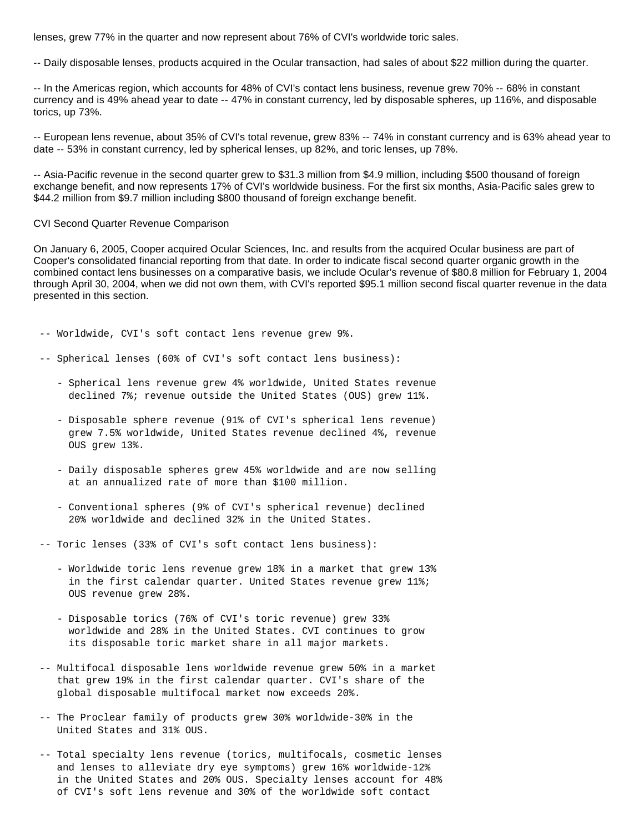lenses, grew 77% in the quarter and now represent about 76% of CVI's worldwide toric sales.

-- Daily disposable lenses, products acquired in the Ocular transaction, had sales of about \$22 million during the quarter.

-- In the Americas region, which accounts for 48% of CVI's contact lens business, revenue grew 70% -- 68% in constant currency and is 49% ahead year to date -- 47% in constant currency, led by disposable spheres, up 116%, and disposable torics, up 73%.

-- European lens revenue, about 35% of CVI's total revenue, grew 83% -- 74% in constant currency and is 63% ahead year to date -- 53% in constant currency, led by spherical lenses, up 82%, and toric lenses, up 78%.

-- Asia-Pacific revenue in the second quarter grew to \$31.3 million from \$4.9 million, including \$500 thousand of foreign exchange benefit, and now represents 17% of CVI's worldwide business. For the first six months, Asia-Pacific sales grew to \$44.2 million from \$9.7 million including \$800 thousand of foreign exchange benefit.

#### CVI Second Quarter Revenue Comparison

On January 6, 2005, Cooper acquired Ocular Sciences, Inc. and results from the acquired Ocular business are part of Cooper's consolidated financial reporting from that date. In order to indicate fiscal second quarter organic growth in the combined contact lens businesses on a comparative basis, we include Ocular's revenue of \$80.8 million for February 1, 2004 through April 30, 2004, when we did not own them, with CVI's reported \$95.1 million second fiscal quarter revenue in the data presented in this section.

-- Worldwide, CVI's soft contact lens revenue grew 9%.

- -- Spherical lenses (60% of CVI's soft contact lens business):
	- Spherical lens revenue grew 4% worldwide, United States revenue declined 7%; revenue outside the United States (OUS) grew 11%.
	- Disposable sphere revenue (91% of CVI's spherical lens revenue) grew 7.5% worldwide, United States revenue declined 4%, revenue OUS grew 13%.
	- Daily disposable spheres grew 45% worldwide and are now selling at an annualized rate of more than \$100 million.
	- Conventional spheres (9% of CVI's spherical revenue) declined 20% worldwide and declined 32% in the United States.

-- Toric lenses (33% of CVI's soft contact lens business):

- Worldwide toric lens revenue grew 18% in a market that grew 13% in the first calendar quarter. United States revenue grew 11%; OUS revenue grew 28%.
- Disposable torics (76% of CVI's toric revenue) grew 33% worldwide and 28% in the United States. CVI continues to grow its disposable toric market share in all major markets.
- -- Multifocal disposable lens worldwide revenue grew 50% in a market that grew 19% in the first calendar quarter. CVI's share of the global disposable multifocal market now exceeds 20%.
- -- The Proclear family of products grew 30% worldwide-30% in the United States and 31% OUS.
- -- Total specialty lens revenue (torics, multifocals, cosmetic lenses and lenses to alleviate dry eye symptoms) grew 16% worldwide-12% in the United States and 20% OUS. Specialty lenses account for 48% of CVI's soft lens revenue and 30% of the worldwide soft contact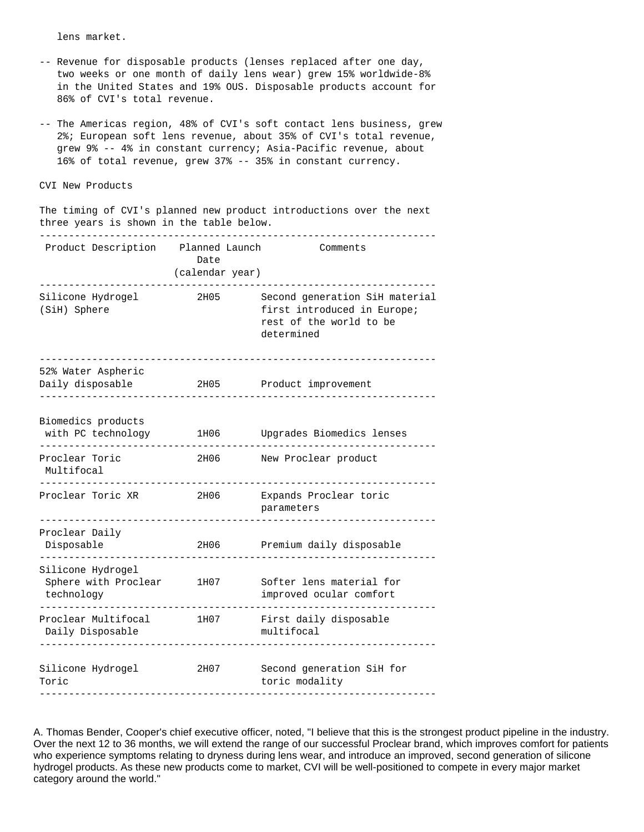lens market.

- -- Revenue for disposable products (lenses replaced after one day, two weeks or one month of daily lens wear) grew 15% worldwide-8% in the United States and 19% OUS. Disposable products account for 86% of CVI's total revenue.
- -- The Americas region, 48% of CVI's soft contact lens business, grew 2%; European soft lens revenue, about 35% of CVI's total revenue, grew 9% -- 4% in constant currency; Asia-Pacific revenue, about 16% of total revenue, grew 37% -- 35% in constant currency.

#### CVI New Products

 The timing of CVI's planned new product introductions over the next three years is shown in the table below.

| Product Description                                     | Planned Launch<br>Date<br>(calendar year) | Comments                                                                                               |
|---------------------------------------------------------|-------------------------------------------|--------------------------------------------------------------------------------------------------------|
| Silicone Hydrogel<br>(SiH) Sphere                       | 2H05                                      | Second generation SiH material<br>first introduced in Europe;<br>rest of the world to be<br>determined |
| 52% Water Aspheric<br>Daily disposable                  | 2H05                                      | Product improvement                                                                                    |
| Biomedics products<br>with PC technology                | 1H06                                      | Upgrades Biomedics lenses                                                                              |
| Proclear Toric<br>Multifocal                            | 2H06                                      | New Proclear product                                                                                   |
| Proclear Toric XR                                       | 2H06                                      | Expands Proclear toric<br>parameters                                                                   |
| Proclear Daily<br>Disposable                            | 2H06                                      | Premium daily disposable                                                                               |
| Silicone Hydrogel<br>Sphere with Proclear<br>technology | 1H07                                      | Softer lens material for<br>improved ocular comfort                                                    |
| Proclear Multifocal<br>Daily Disposable                 | 1H07                                      | First daily disposable<br>multifocal                                                                   |
| Silicone Hydrogel<br>Toric                              | 2H07                                      | Second generation SiH for<br>toric modality                                                            |

A. Thomas Bender, Cooper's chief executive officer, noted, "I believe that this is the strongest product pipeline in the industry. Over the next 12 to 36 months, we will extend the range of our successful Proclear brand, which improves comfort for patients who experience symptoms relating to dryness during lens wear, and introduce an improved, second generation of silicone hydrogel products. As these new products come to market, CVI will be well-positioned to compete in every major market category around the world."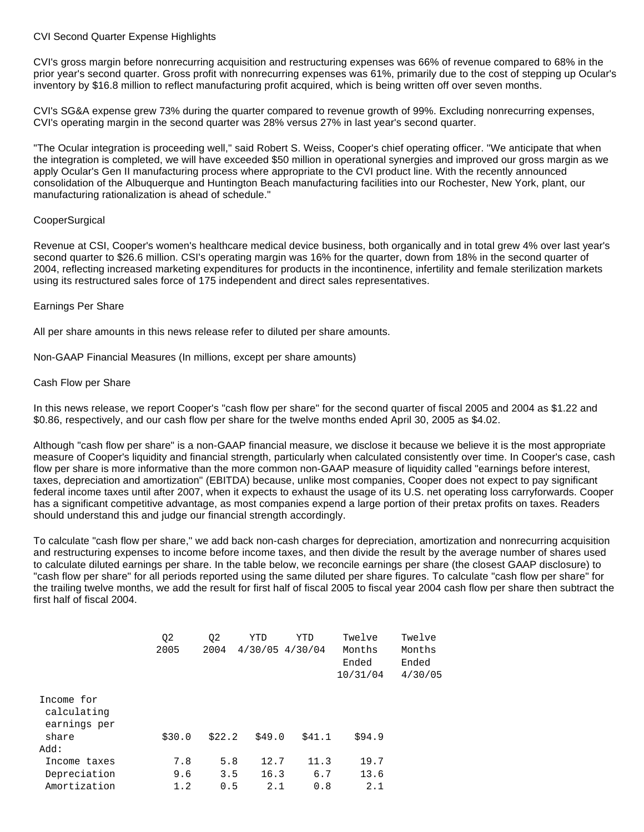#### CVI Second Quarter Expense Highlights

CVI's gross margin before nonrecurring acquisition and restructuring expenses was 66% of revenue compared to 68% in the prior year's second quarter. Gross profit with nonrecurring expenses was 61%, primarily due to the cost of stepping up Ocular's inventory by \$16.8 million to reflect manufacturing profit acquired, which is being written off over seven months.

CVI's SG&A expense grew 73% during the quarter compared to revenue growth of 99%. Excluding nonrecurring expenses, CVI's operating margin in the second quarter was 28% versus 27% in last year's second quarter.

"The Ocular integration is proceeding well," said Robert S. Weiss, Cooper's chief operating officer. "We anticipate that when the integration is completed, we will have exceeded \$50 million in operational synergies and improved our gross margin as we apply Ocular's Gen II manufacturing process where appropriate to the CVI product line. With the recently announced consolidation of the Albuquerque and Huntington Beach manufacturing facilities into our Rochester, New York, plant, our manufacturing rationalization is ahead of schedule."

#### **CooperSurgical**

Revenue at CSI, Cooper's women's healthcare medical device business, both organically and in total grew 4% over last year's second quarter to \$26.6 million. CSI's operating margin was 16% for the quarter, down from 18% in the second quarter of 2004, reflecting increased marketing expenditures for products in the incontinence, infertility and female sterilization markets using its restructured sales force of 175 independent and direct sales representatives.

# Earnings Per Share

All per share amounts in this news release refer to diluted per share amounts.

Non-GAAP Financial Measures (In millions, except per share amounts)

#### Cash Flow per Share

In this news release, we report Cooper's "cash flow per share" for the second quarter of fiscal 2005 and 2004 as \$1.22 and \$0.86, respectively, and our cash flow per share for the twelve months ended April 30, 2005 as \$4.02.

Although "cash flow per share" is a non-GAAP financial measure, we disclose it because we believe it is the most appropriate measure of Cooper's liquidity and financial strength, particularly when calculated consistently over time. In Cooper's case, cash flow per share is more informative than the more common non-GAAP measure of liquidity called "earnings before interest, taxes, depreciation and amortization" (EBITDA) because, unlike most companies, Cooper does not expect to pay significant federal income taxes until after 2007, when it expects to exhaust the usage of its U.S. net operating loss carryforwards. Cooper has a significant competitive advantage, as most companies expend a large portion of their pretax profits on taxes. Readers should understand this and judge our financial strength accordingly.

To calculate "cash flow per share," we add back non-cash charges for depreciation, amortization and nonrecurring acquisition and restructuring expenses to income before income taxes, and then divide the result by the average number of shares used to calculate diluted earnings per share. In the table below, we reconcile earnings per share (the closest GAAP disclosure) to "cash flow per share" for all periods reported using the same diluted per share figures. To calculate "cash flow per share" for the trailing twelve months, we add the result for first half of fiscal 2005 to fiscal year 2004 cash flow per share then subtract the first half of fiscal 2004.

|                                           | Q <sub>2</sub><br>2005 | Q <sub>2</sub><br>2004 | YTD    | YTD<br>$4/30/05$ $4/30/04$ | Twelve<br>Months<br>Ended<br>10/31/04 | Twelve<br>Months<br>Ended<br>4/30/05 |
|-------------------------------------------|------------------------|------------------------|--------|----------------------------|---------------------------------------|--------------------------------------|
| Income for<br>calculating<br>earnings per |                        |                        |        |                            |                                       |                                      |
| share                                     | \$30.0                 | \$22.2                 | \$49.0 | \$41.1                     | \$94.9                                |                                      |
| : Add                                     |                        |                        |        |                            |                                       |                                      |
| Income taxes                              | 7.8                    | 5.8                    | 12.7   | 11.3                       | 19.7                                  |                                      |
| Depreciation                              | 9.6                    | 3.5                    | 16.3   | 6.7                        | 13.6                                  |                                      |
| Amortization                              | 1.2                    | 0.5                    | 2.1    | 0.8                        | 2.1                                   |                                      |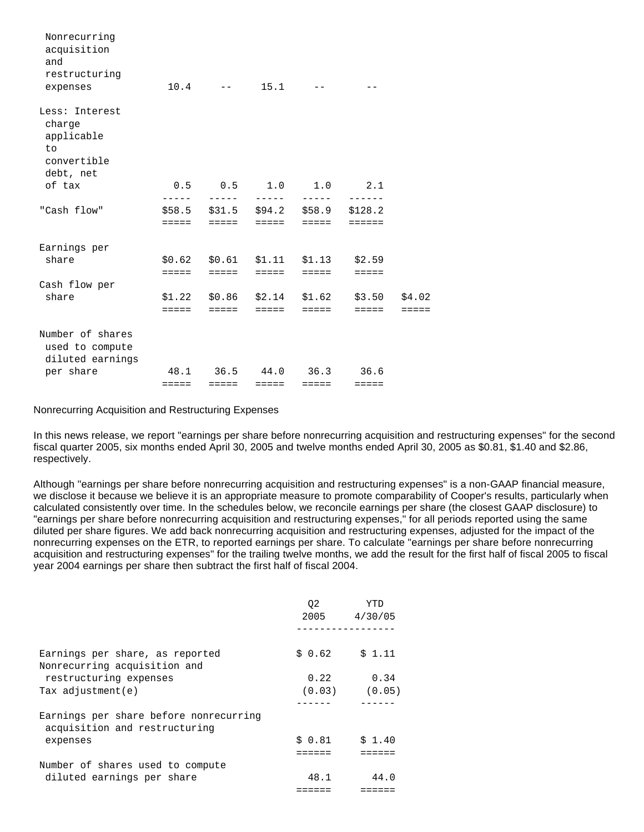| Nonrecurring<br>acquisition<br>and<br>restructuring<br>expenses          |                 | $10.4$ -- $15.1$                                         |                 |                 |                                  |                           |
|--------------------------------------------------------------------------|-----------------|----------------------------------------------------------|-----------------|-----------------|----------------------------------|---------------------------|
| Less: Interest<br>charge<br>applicable<br>to<br>convertible<br>debt, net |                 |                                                          |                 |                 |                                  |                           |
| of tax                                                                   | $- - - - -$     | $0.5$ 0.5 1.0 1.0 2.1<br>$\frac{1}{2}$                   | $\frac{1}{2}$   | $- - - - -$     |                                  |                           |
| "Cash flow"                                                              | =====           | $$58.5$ $$31.5$ $$94.2$ $$58.9$ $$128.2$<br><b>EEEEE</b> | $=$ $=$ $=$ $=$ | ------          | $=$ $=$ $=$ $=$ $=$              |                           |
| Earnings per<br>share                                                    | $=$ $=$ $=$ $=$ | \$0.62 \$0.61 \$1.11 \$1.13<br><b>EEEEE</b>              | $=$ $=$ $=$ $=$ | =====           | \$2.59<br>$=$ $=$ $=$ $=$        |                           |
| Cash flow per                                                            |                 |                                                          |                 |                 |                                  |                           |
| share                                                                    | $=$ $=$ $=$ $=$ | $$1.22$ $$0.86$ $$2.14$ $$1.62$<br><b>EEEEE</b>          | <b>EEEEE</b>    | <b>EEEEE</b>    | \$3.50<br>$=$ $=$ $=$ $=$        | \$4.02<br>$=$ $=$ $=$ $=$ |
| Number of shares<br>used to compute<br>diluted earnings                  |                 |                                                          |                 |                 |                                  |                           |
| per share                                                                | =====           | 48.1 36.5 44.0<br>$=$ $=$ $=$ $=$                        | $=$ $=$ $=$ $=$ | $=$ $=$ $=$ $=$ | $36.3$ $36.6$<br>$=$ $=$ $=$ $=$ |                           |

#### Nonrecurring Acquisition and Restructuring Expenses

In this news release, we report "earnings per share before nonrecurring acquisition and restructuring expenses" for the second fiscal quarter 2005, six months ended April 30, 2005 and twelve months ended April 30, 2005 as \$0.81, \$1.40 and \$2.86, respectively.

Although "earnings per share before nonrecurring acquisition and restructuring expenses" is a non-GAAP financial measure, we disclose it because we believe it is an appropriate measure to promote comparability of Cooper's results, particularly when calculated consistently over time. In the schedules below, we reconcile earnings per share (the closest GAAP disclosure) to "earnings per share before nonrecurring acquisition and restructuring expenses," for all periods reported using the same diluted per share figures. We add back nonrecurring acquisition and restructuring expenses, adjusted for the impact of the nonrecurring expenses on the ETR, to reported earnings per share. To calculate "earnings per share before nonrecurring acquisition and restructuring expenses" for the trailing twelve months, we add the result for the first half of fiscal 2005 to fiscal year 2004 earnings per share then subtract the first half of fiscal 2004.

|                                                                         | 02      | YTD<br>2005 4/30/05 |
|-------------------------------------------------------------------------|---------|---------------------|
|                                                                         |         |                     |
| Earnings per share, as reported<br>Nonrecurring acquisition and         | \$ 0.62 | \$1.11              |
| restructuring expenses                                                  | 0.22    | 0.34                |
| Tax $\alpha$ djustment $(e)$                                            |         | $(0.03)$ $(0.05)$   |
|                                                                         |         |                     |
| Earnings per share before nonrecurring<br>acquisition and restructuring |         |                     |
| expenses                                                                | \$0.81  | \$1.40              |
|                                                                         |         |                     |
| Number of shares used to compute                                        |         |                     |
| diluted earnings per share                                              | 48.1    | 44.0                |
|                                                                         |         |                     |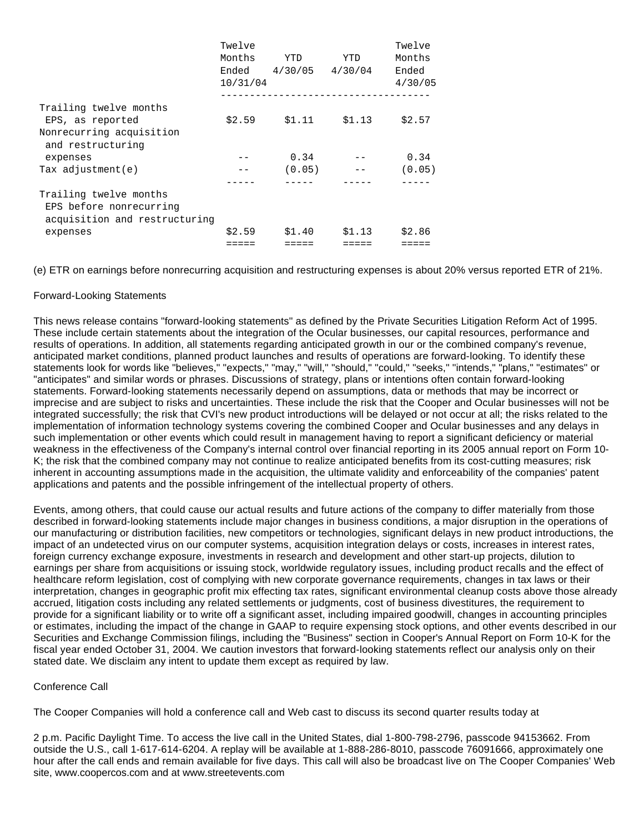|                                                                                    | Twelve<br>Months<br>Ended<br>10/31/04 | YTD<br>$4/30/05$ $4/30/04$ | <b>YTD</b> | Twelve<br>Months<br>Ended<br>4/30/05 |
|------------------------------------------------------------------------------------|---------------------------------------|----------------------------|------------|--------------------------------------|
| Trailing twelve months<br>EPS, as reported                                         | \$2.59                                | \$1.11                     | \$1.13     | \$2.57                               |
| Nonrecurring acquisition<br>and restructuring<br>expenses                          |                                       | 0.34                       |            | 0.34                                 |
| Tax $adjustment(e)$                                                                |                                       | (0.05)                     |            | (0.05)                               |
|                                                                                    |                                       |                            |            |                                      |
| Trailing twelve months<br>EPS before nonrecurring<br>acquisition and restructuring |                                       |                            |            |                                      |
| expenses                                                                           | \$2.59                                | \$1.40                     | \$1.13     | \$2.86                               |
|                                                                                    |                                       |                            |            |                                      |

(e) ETR on earnings before nonrecurring acquisition and restructuring expenses is about 20% versus reported ETR of 21%.

# Forward-Looking Statements

This news release contains "forward-looking statements" as defined by the Private Securities Litigation Reform Act of 1995. These include certain statements about the integration of the Ocular businesses, our capital resources, performance and results of operations. In addition, all statements regarding anticipated growth in our or the combined company's revenue, anticipated market conditions, planned product launches and results of operations are forward-looking. To identify these statements look for words like "believes," "expects," "may," "will," "should," "could," "seeks," "intends," "plans," "estimates" or "anticipates" and similar words or phrases. Discussions of strategy, plans or intentions often contain forward-looking statements. Forward-looking statements necessarily depend on assumptions, data or methods that may be incorrect or imprecise and are subject to risks and uncertainties. These include the risk that the Cooper and Ocular businesses will not be integrated successfully; the risk that CVI's new product introductions will be delayed or not occur at all; the risks related to the implementation of information technology systems covering the combined Cooper and Ocular businesses and any delays in such implementation or other events which could result in management having to report a significant deficiency or material weakness in the effectiveness of the Company's internal control over financial reporting in its 2005 annual report on Form 10- K; the risk that the combined company may not continue to realize anticipated benefits from its cost-cutting measures; risk inherent in accounting assumptions made in the acquisition, the ultimate validity and enforceability of the companies' patent applications and patents and the possible infringement of the intellectual property of others.

Events, among others, that could cause our actual results and future actions of the company to differ materially from those described in forward-looking statements include major changes in business conditions, a major disruption in the operations of our manufacturing or distribution facilities, new competitors or technologies, significant delays in new product introductions, the impact of an undetected virus on our computer systems, acquisition integration delays or costs, increases in interest rates, foreign currency exchange exposure, investments in research and development and other start-up projects, dilution to earnings per share from acquisitions or issuing stock, worldwide regulatory issues, including product recalls and the effect of healthcare reform legislation, cost of complying with new corporate governance requirements, changes in tax laws or their interpretation, changes in geographic profit mix effecting tax rates, significant environmental cleanup costs above those already accrued, litigation costs including any related settlements or judgments, cost of business divestitures, the requirement to provide for a significant liability or to write off a significant asset, including impaired goodwill, changes in accounting principles or estimates, including the impact of the change in GAAP to require expensing stock options, and other events described in our Securities and Exchange Commission filings, including the "Business" section in Cooper's Annual Report on Form 10-K for the fiscal year ended October 31, 2004. We caution investors that forward-looking statements reflect our analysis only on their stated date. We disclaim any intent to update them except as required by law.

# Conference Call

The Cooper Companies will hold a conference call and Web cast to discuss its second quarter results today at

2 p.m. Pacific Daylight Time. To access the live call in the United States, dial 1-800-798-2796, passcode 94153662. From outside the U.S., call 1-617-614-6204. A replay will be available at 1-888-286-8010, passcode 76091666, approximately one hour after the call ends and remain available for five days. This call will also be broadcast live on The Cooper Companies' Web site, www.coopercos.com and at www.streetevents.com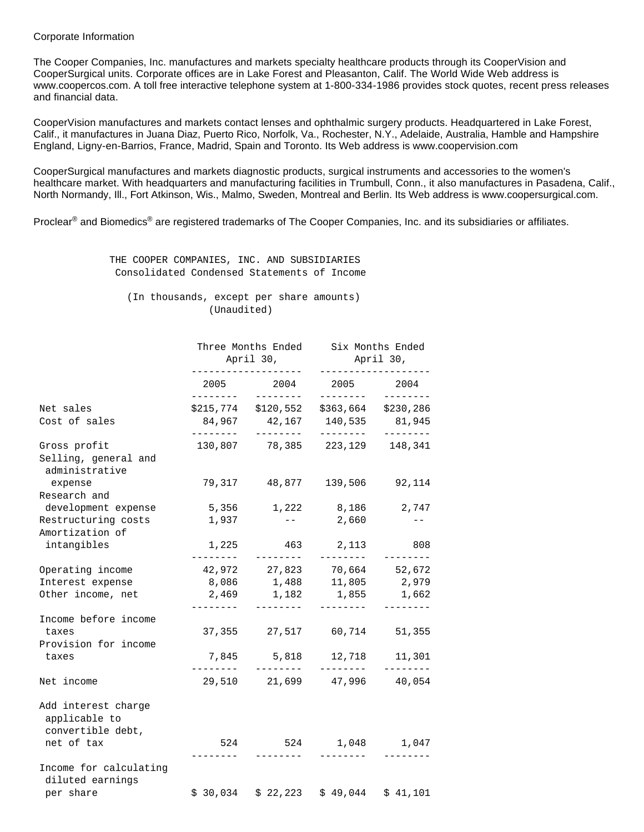#### Corporate Information

The Cooper Companies, Inc. manufactures and markets specialty healthcare products through its CooperVision and CooperSurgical units. Corporate offices are in Lake Forest and Pleasanton, Calif. The World Wide Web address is www.coopercos.com. A toll free interactive telephone system at 1-800-334-1986 provides stock quotes, recent press releases and financial data.

CooperVision manufactures and markets contact lenses and ophthalmic surgery products. Headquartered in Lake Forest, Calif., it manufactures in Juana Diaz, Puerto Rico, Norfolk, Va., Rochester, N.Y., Adelaide, Australia, Hamble and Hampshire England, Ligny-en-Barrios, France, Madrid, Spain and Toronto. Its Web address is www.coopervision.com

CooperSurgical manufactures and markets diagnostic products, surgical instruments and accessories to the women's healthcare market. With headquarters and manufacturing facilities in Trumbull, Conn., it also manufactures in Pasadena, Calif., North Normandy, Ill., Fort Atkinson, Wis., Malmo, Sweden, Montreal and Berlin. Its Web address is www.coopersurgical.com.

Proclear<sup>®</sup> and Biomedics<sup>®</sup> are registered trademarks of The Cooper Companies, Inc. and its subsidiaries or affiliates.

 THE COOPER COMPANIES, INC. AND SUBSIDIARIES Consolidated Condensed Statements of Income

 (In thousands, except per share amounts) (Unaudited)

|                                                           |                             | Three Months Ended<br>April 30,                                    | Six Months Ended<br>April 30,<br>-------------- |                                 |  |
|-----------------------------------------------------------|-----------------------------|--------------------------------------------------------------------|-------------------------------------------------|---------------------------------|--|
|                                                           | ---------------<br>-------- | 2005 2004<br>--------                                              | 2005 2004<br>________                           | --------                        |  |
| Net sales<br>Cost of sales                                | ---------                   | $$215,774$ $$120,552$<br>84,967 42,167 140,535 81,945<br>--------- | --------                                        | \$363,664 \$230,286<br>________ |  |
| Gross profit<br>Selling, general and<br>administrative    |                             | 130,807 78,385 223,129 148,341                                     |                                                 |                                 |  |
| expense<br>Research and                                   |                             | 79,317 48,877 139,506 92,114                                       |                                                 |                                 |  |
| development expense                                       |                             | 5,356 1,222 8,186                                                  |                                                 | 2,747                           |  |
| Restructuring costs<br>Amortization of                    | 1,937                       | $ -$                                                               | 2,660                                           | $- -$                           |  |
| intangibles                                               |                             | 1,225 463                                                          | 2,113                                           | 808                             |  |
| Operating income                                          |                             | 42,972 27,823 70,664 52,672                                        |                                                 |                                 |  |
| Interest expense                                          |                             | 8,086 1,488 11,805 2,979                                           |                                                 |                                 |  |
| Other income, net                                         |                             | 2,469 1,182 1,855 1,662<br>_________                               |                                                 | --------                        |  |
| Income before income<br>taxes<br>Provision for income     |                             | 37,355 27,517 60,714                                               |                                                 | 51,355                          |  |
| taxes                                                     | 7,845<br>_________          | 5,818<br>_________                                                 | 12,718<br>________                              | 11,301<br>$- - - - - - - -$     |  |
| Net income                                                |                             | 29,510 21,699 47,996 40,054                                        |                                                 |                                 |  |
| Add interest charge<br>applicable to<br>convertible debt, |                             |                                                                    |                                                 |                                 |  |
| net of tax                                                | 524<br>________             | ---------                                                          | 524 1,048 1,047<br>________                     |                                 |  |
| Income for calculating<br>diluted earnings                |                             |                                                                    |                                                 |                                 |  |
| per share                                                 |                             | $$30,034$ $$22,223$                                                |                                                 | $$49,044$ $$41,101$             |  |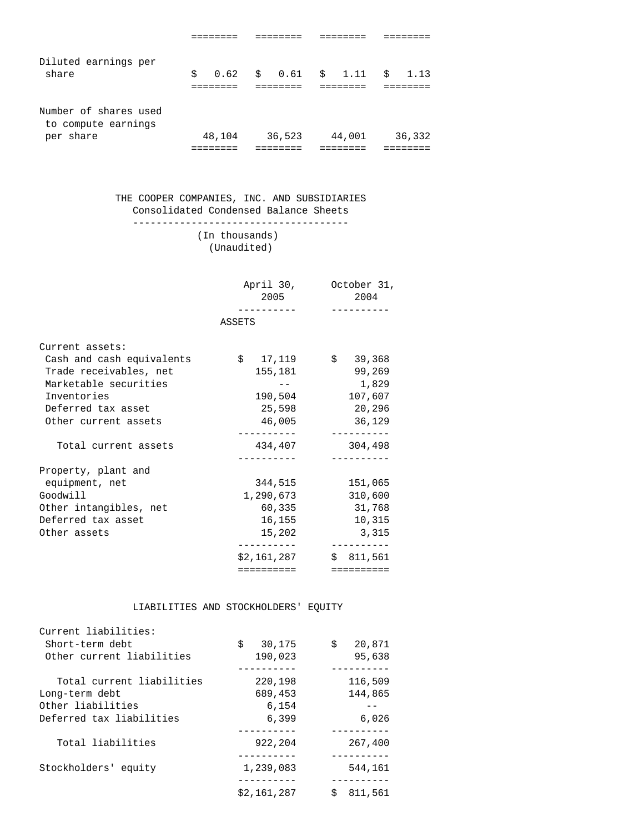|  |        |        |                                           | \$1.13 |
|--|--------|--------|-------------------------------------------|--------|
|  |        |        |                                           | 36,332 |
|  | 48,104 | 36,523 | $$0.62 \quad $0.61 \quad $1.11$<br>44,001 |        |

#### THE COOPER COMPANIES, INC. AND SUBSIDIARIES Consolidated Condensed Balance Sheets -------------------------------------

# (In thousands) (Unaudited)

|                           | 2005                | April 30, October 31,<br>2004 |
|---------------------------|---------------------|-------------------------------|
|                           |                     |                               |
|                           | ASSETS              |                               |
| Current assets:           |                     |                               |
| Cash and cash equivalents | $$17,119$ $$39,368$ |                               |
| Trade receivables, net    | 155,181             | 99,269                        |
| Marketable securities     |                     | 1,829                         |
| Inventories               | 190,504             | 107,607                       |
| Deferred tax asset        | 25,598              | 20,296                        |
| Other current assets      | 46,005              | 36,129                        |
|                           |                     | ___________                   |
| Total current assets      | 434,407             | 304,498<br>__________         |
| Property, plant and       |                     |                               |
| equipment, net            | 344,515             | 151,065                       |
| Goodwill                  |                     | 1,290,673 310,600             |
| Other intangibles, net    | 60,335              | 31,768                        |
| Deferred tax asset        | 16,155              | 10,315                        |
| Other assets              | 15,202              | 3,315                         |
|                           | . <u>.</u> .        |                               |
|                           | \$2,161,287         | \$811,561                     |
|                           | ==========          | ==========                    |

#### LIABILITIES AND STOCKHOLDERS' EQUITY

| Current liabilities:      |              |               |
|---------------------------|--------------|---------------|
| Short-term debt           | \$<br>30,175 | \$<br>20,871  |
| Other current liabilities | 190,023      | 95,638        |
|                           |              |               |
| Total current liabilities | 220,198      | 116,509       |
| Long-term debt            | 689,453      | 144,865       |
| Other liabilities         | 6,154        |               |
| Deferred tax liabilities  | 6,399        | 6,026         |
|                           |              |               |
| Total liabilities         | 922,204      | 267,400       |
|                           |              |               |
| Stockholders' equity      | 1,239,083    | 544,161       |
|                           |              |               |
|                           | \$2,161,287  | Ŝ.<br>811,561 |